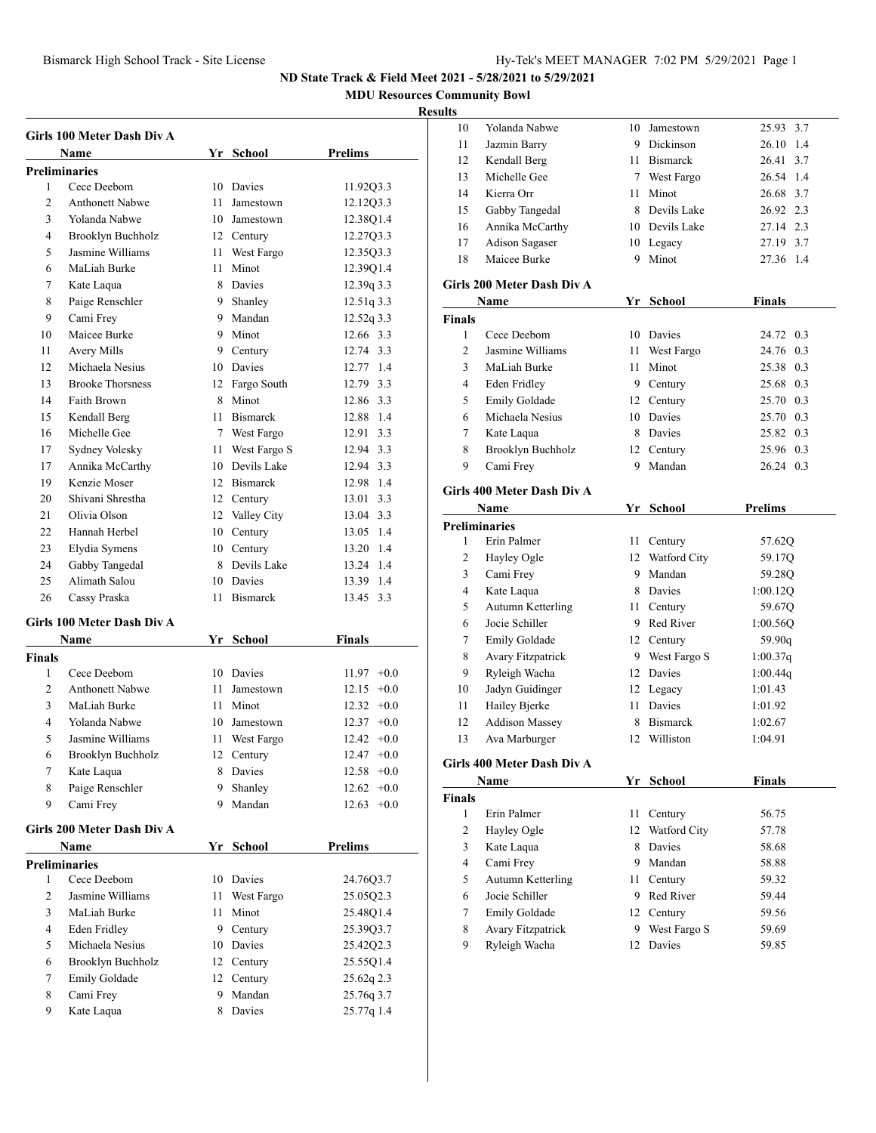**MDU Resources Community Bowl**

## **Resu**

|                     | Girls 100 Meter Dash Div A          |      |                 |                 |
|---------------------|-------------------------------------|------|-----------------|-----------------|
|                     | Name                                |      | Yr School       | Prelims         |
|                     | <b>Preliminaries</b><br>Cece Deebom |      |                 |                 |
| 1<br>$\overline{c}$ | <b>Anthonett Nabwe</b>              |      | 10 Davies       | 11.92Q3.3       |
|                     | Yolanda Nabwe                       | 11   | Jamestown       | 12.12Q3.3       |
| 3                   |                                     |      | 10 Jamestown    | 12.38Q1.4       |
| $\overline{4}$      | Brooklyn Buchholz                   |      | 12 Century      | 12.27Q3.3       |
| 5                   | Jasmine Williams                    | 11 - | West Fargo      | 12.35Q3.3       |
| 6                   | MaLiah Burke                        | 11   | Minot           | 12.39Q1.4       |
| 7                   | Kate Laqua                          | 8.   | Davies          | 12.39q 3.3      |
| 8                   | Paige Renschler                     | 9    | Shanley         | 12.51q 3.3      |
| 9                   | Cami Frey                           |      | 9 Mandan        | 12.52q 3.3      |
| 10                  | Maicee Burke                        |      | 9 Minot         | 12.66 3.3       |
| 11                  | Avery Mills                         |      | 9 Century       | 12.74 3.3       |
| 12                  | Michaela Nesius                     |      | 10 Davies       | 12.77 1.4       |
| 13                  | <b>Brooke Thorsness</b>             |      | 12 Fargo South  | 12.79 3.3       |
| 14                  | Faith Brown                         |      | 8 Minot         | 12.86 3.3       |
| 15                  | Kendall Berg                        |      | 11 Bismarck     | 12.88 1.4       |
| 16                  | Michelle Gee                        |      | 7 West Fargo    | 12.91 3.3       |
| 17                  | Sydney Volesky                      | 11   | West Fargo S    | 12.94 3.3       |
| 17                  | Annika McCarthy                     |      | 10 Devils Lake  | 12.94 3.3       |
| 19                  | Kenzie Moser                        |      | 12 Bismarck     | 12.98 1.4       |
| 20                  | Shivani Shrestha                    |      | 12 Century      | 3.3<br>13.01    |
| 21                  | Olivia Olson                        |      | 12 Valley City  | 13.04 3.3       |
| 22                  | Hannah Herbel                       |      | 10 Century      | 13.05 1.4       |
| 23                  | Elydia Symens                       |      | 10 Century      | 13.20 1.4       |
| 24                  | Gabby Tangedal                      |      | 8 Devils Lake   | 13.24 1.4       |
| 25                  | Alimath Salou                       |      | 10 Davies       | 13.39 1.4       |
| 26                  | Cassy Praska                        | 11   | <b>Bismarck</b> | 3.3<br>13.45    |
|                     | Girls 100 Meter Dash Div A          |      |                 |                 |
|                     | <b>Name</b>                         |      | Yr School       | Finals          |
| <b>Finals</b>       |                                     |      |                 |                 |
| 1                   | Cece Deebom                         |      | 10 Davies       | $11.97 +0.0$    |
| $\overline{c}$      | <b>Anthonett Nabwe</b>              | 11   | Jamestown       | 12.15<br>$+0.0$ |
| 3                   | MaLiah Burke                        | 11   | Minot           | 12.32<br>$+0.0$ |
| 4                   | Yolanda Nabwe                       |      | 10 Jamestown    | $12.37 +0.0$    |
| 5                   | Jasmine Williams                    | 11   | West Fargo      | 12.42<br>$+0.0$ |
| 6                   | Brooklyn Buchholz                   | 12   | Century         | 12.47<br>$+0.0$ |
| 7                   | Kate Laqua                          | 8    | Davies          | $12.58 + 0.0$   |
| 8                   | Paige Renschler                     | 9    | Shanley         | 12.62<br>$+0.0$ |
| 9                   | Cami Frey                           | 9.   | Mandan          | $12.63 +0.0$    |
|                     |                                     |      |                 |                 |
|                     | Girls 200 Meter Dash Div A          |      |                 |                 |
|                     | Name                                |      | Yr School       | Prelims         |
|                     | <b>Preliminaries</b>                |      |                 |                 |
| 1                   | Cece Deebom                         | 10   | Davies          | 24.76Q3.7       |
| 2                   | Jasmine Williams                    | 11   | West Fargo      | 25.05Q2.3       |
| 3                   | MaLiah Burke                        | 11   | Minot           | 25.48Q1.4       |
| 4                   | Eden Fridley                        | 9.   | Century         | 25.39Q3.7       |
| 5                   | Michaela Nesius                     |      | 10 Davies       | 25.42Q2.3       |
| 6                   | Brooklyn Buchholz                   |      | 12 Century      | 25.55Q1.4       |
| 7                   | Emily Goldade                       | 12   | Century         | 25.62q 2.3      |
| 8                   | Cami Frey                           | 9    | Mandan          | 25.76q 3.7      |
| 9                   | Kate Laqua                          | 8    | Davies          | 25.77q 1.4      |
|                     |                                     |      |                 |                 |

| ılts                 |                                   |      |                 |                |
|----------------------|-----------------------------------|------|-----------------|----------------|
| 10                   | Yolanda Nabwe                     | 10   | Jamestown       | 3.7<br>25.93   |
| 11                   | Jazmin Barry                      |      | 9 Dickinson     | 26.10 1.4      |
| 12                   | Kendall Berg                      |      | 11 Bismarck     | 26.41 3.7      |
| 13                   | Michelle Gee                      |      | 7 West Fargo    | 26.54 1.4      |
| 14                   | Kierra Orr                        | 11 - | Minot           | 26.68 3.7      |
| 15                   | Gabby Tangedal                    |      | 8 Devils Lake   | 26.92 2.3      |
| 16                   | Annika McCarthy                   |      | 10 Devils Lake  | 27.14 2.3      |
| 17                   | Adison Sagaser                    |      | 10 Legacy       | 27.19 3.7      |
| 18                   | Maicee Burke                      | 9    | Minot           | 27.36 1.4      |
|                      | Girls 200 Meter Dash Div A        |      |                 |                |
|                      | Name                              |      | Yr School       | <b>Finals</b>  |
| <b>Finals</b>        |                                   |      |                 |                |
| 1                    | Cece Deebom                       | 10   | Davies          | 24.72 0.3      |
| $\overline{c}$       | Jasmine Williams                  | 11   | West Fargo      | 24.76 0.3      |
| 3                    | MaLiah Burke                      | 11 - | Minot           | 25.38 0.3      |
| 4                    | Eden Fridley                      |      | 9 Century       | 25.68 0.3      |
| 5                    | Emily Goldade                     |      | 12 Century      | 25.70 0.3      |
| 6                    | Michaela Nesius                   |      | 10 Davies       | 25.70 0.3      |
| 7                    | Kate Laqua                        |      | 8 Davies        | 25.82 0.3      |
| 8                    | <b>Brooklyn Buchholz</b>          |      | 12 Century      | 25.96 0.3      |
| 9                    | Cami Frey                         | 9    | Mandan          | 26.24 0.3      |
|                      | <b>Girls 400 Meter Dash Div A</b> |      |                 |                |
|                      | Name                              | Yr   | <b>School</b>   | <b>Prelims</b> |
| <b>Preliminaries</b> |                                   |      |                 |                |
| 1                    | Erin Palmer                       | 11   | Century         | 57.62Q         |
| 2                    | Hayley Ogle                       |      | 12 Watford City | 59.17Q         |
| 3                    | Cami Frey                         | 9    | Mandan          | 59.28Q         |
| 4                    | Kate Laqua                        |      | 8 Davies        | 1:00.12Q       |
| 5                    | Autumn Ketterling                 | 11 - | Century         | 59.67Q         |
| 6                    | Jocie Schiller                    |      | 9 Red River     | 1:00.56Q       |
| 7                    | Emily Goldade                     |      | 12 Century      | 59.90q         |
| 8                    | <b>Avary Fitzpatrick</b>          |      | 9 West Fargo S  | 1:00.37q       |
| 9                    | Ryleigh Wacha                     |      | 12 Davies       | 1:00.44q       |
| 10                   | Jadyn Guidinger                   |      | 12 Legacy       | 1:01.43        |
| 11                   | Hailey Bjerke                     | 11 - | Davies          | 1:01.92        |
| 12                   | <b>Addison Massey</b>             | 8    | <b>Bismarck</b> | 1:02.67        |
| 13                   | Ava Marburger                     |      | 12 Williston    | 1:04.91        |
|                      |                                   |      |                 |                |
|                      | Girls 400 Meter Dash Div A        |      |                 |                |
|                      | Name                              |      | Yr School       | <b>Finals</b>  |
| Finals               |                                   |      |                 |                |
| 1                    | Erin Palmer                       | 11   | Century         | 56.75          |
| 2                    | Hayley Ogle                       | 12   | Watford City    | 57.78          |
| 3                    | Kate Laqua                        | 8    | Davies          | 58.68          |
| 4                    | Cami Frey                         |      | 9 Mandan        | 58.88          |
| 5                    | <b>Autumn Ketterling</b>          | 11 - | Century         | 59.32          |
| 6                    | Jocie Schiller                    | 9.   | Red River       | 59.44          |
| 7                    | <b>Emily Goldade</b>              |      | 12 Century      | 59.56          |
| 8                    | Avary Fitzpatrick                 | 9.   | West Fargo S    | 59.69          |
| 9                    | Ryleigh Wacha                     | 12   | Davies          | 59.85          |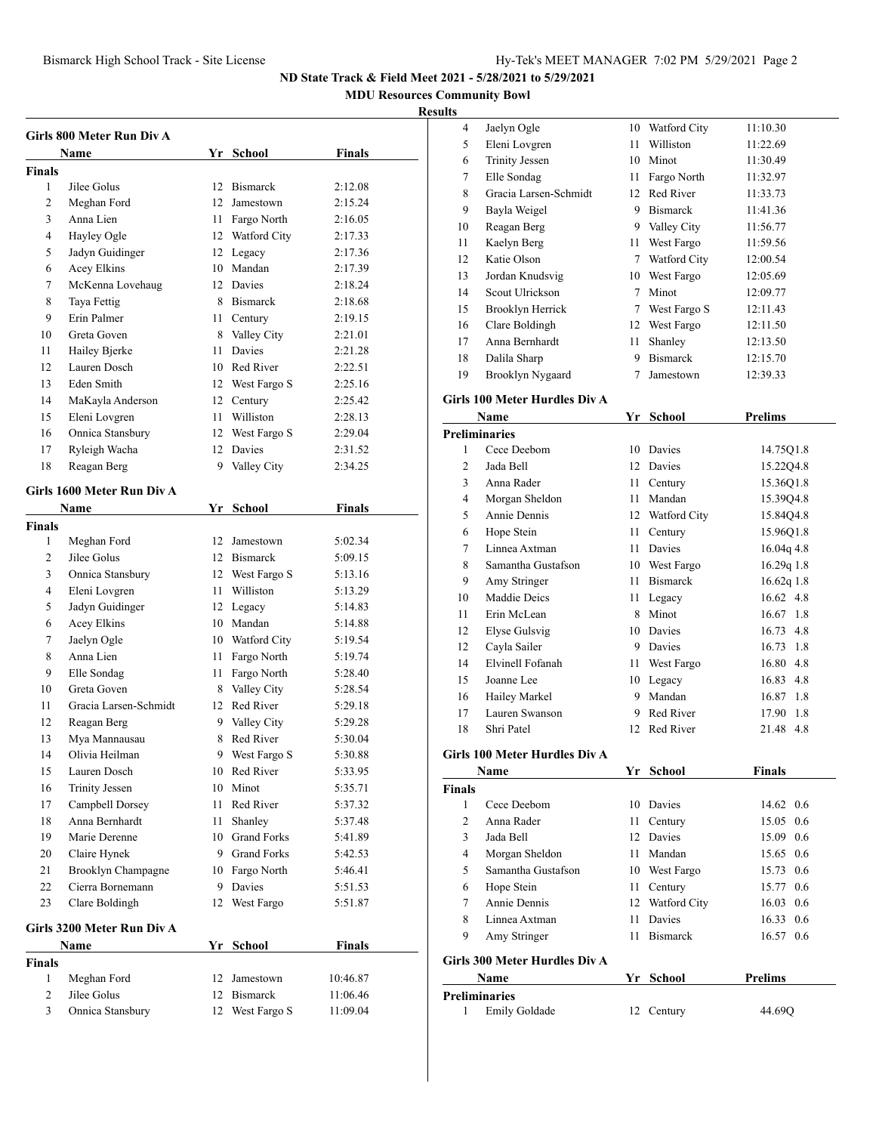**MDU Resources Community Bowl**

## **Result**

| Girls 800 Meter Run Div A |                            |    |                 |               |
|---------------------------|----------------------------|----|-----------------|---------------|
|                           | Name                       |    | Yr School       | Finals        |
| Finals                    |                            |    |                 |               |
| 1                         | Jilee Golus                |    | 12 Bismarck     | 2:12.08       |
| 2                         | Meghan Ford                |    | 12 Jamestown    | 2:15.24       |
| 3                         | Anna Lien                  |    | 11 Fargo North  | 2:16.05       |
| 4                         | Hayley Ogle                |    | 12 Watford City | 2:17.33       |
| 5                         | Jadyn Guidinger            |    | 12 Legacy       | 2:17.36       |
| 6                         | Acey Elkins                |    | 10 Mandan       | 2:17.39       |
| 7                         | McKenna Lovehaug           |    | 12 Davies       | 2:18.24       |
| 8                         | Taya Fettig                |    | 8 Bismarck      | 2:18.68       |
| 9                         | Erin Palmer                |    | 11 Century      | 2:19.15       |
| 10                        | Greta Goven                |    | 8 Valley City   | 2:21.01       |
| 11                        | Hailey Bjerke              |    | 11 Davies       | 2:21.28       |
| 12                        | Lauren Dosch               |    | 10 Red River    | 2:22.51       |
| 13                        | Eden Smith                 |    | 12 West Fargo S | 2:25.16       |
| 14                        | MaKayla Anderson           |    | 12 Century      | 2:25.42       |
| 15                        | Eleni Lovgren              |    | 11 Williston    | 2:28.13       |
| 16                        | Onnica Stansbury           |    | 12 West Fargo S | 2:29.04       |
| 17                        | Ryleigh Wacha              |    | 12 Davies       | 2:31.52       |
| 18                        | Reagan Berg                | 9. | Valley City     | 2:34.25       |
|                           |                            |    |                 |               |
|                           | Girls 1600 Meter Run Div A |    |                 |               |
|                           | Name                       |    | Yr School       | Finals        |
| <b>Finals</b>             |                            |    |                 |               |
| 1                         | Meghan Ford                |    | 12 Jamestown    | 5:02.34       |
| 2                         | Jilee Golus                |    | 12 Bismarck     | 5:09.15       |
| 3                         | Onnica Stansbury           |    | 12 West Fargo S | 5:13.16       |
| 4                         | Eleni Lovgren              |    | 11 Williston    | 5:13.29       |
| 5                         | Jadyn Guidinger            |    | 12 Legacy       | 5:14.83       |
| 6                         | Acey Elkins                |    | 10 Mandan       | 5:14.88       |
| 7                         | Jaelyn Ogle                |    | 10 Watford City | 5:19.54       |
| 8                         | Anna Lien                  |    | 11 Fargo North  | 5:19.74       |
| 9                         | Elle Sondag                |    | 11 Fargo North  | 5:28.40       |
| 10                        | Greta Goven                |    | 8 Valley City   | 5:28.54       |
| 11                        | Gracia Larsen-Schmidt      |    | 12 Red River    | 5:29.18       |
| 12                        | Reagan Berg                |    | 9 Valley City   | 5:29.28       |
| 13                        | Mya Mannausau              | 8  | Red River       | 5:30.04       |
| 14                        | Olivia Heilman             | 9  | West Fargo S    | 5:30.88       |
| 15                        | Lauren Dosch               |    | 10 Red River    | 5:33.95       |
| 16                        | <b>Trinity Jessen</b>      |    | 10 Minot        | 5:35.71       |
| 17                        | Campbell Dorsey            | 11 | Red River       | 5:37.32       |
| 18                        | Anna Bernhardt             | 11 | Shanley         | 5:37.48       |
| 19                        | Marie Derenne              |    | 10 Grand Forks  | 5:41.89       |
| 20                        | Claire Hynek               |    | 9 Grand Forks   | 5:42.53       |
| 21                        | Brooklyn Champagne         |    | 10 Fargo North  | 5:46.41       |
| 22                        | Cierra Bornemann           |    | 9 Davies        | 5:51.53       |
| 23                        | Clare Boldingh             | 12 | West Fargo      | 5:51.87       |
|                           | Girls 3200 Meter Run Div A |    |                 |               |
|                           | Name                       | Yr | <b>School</b>   | <b>Finals</b> |
| <b>Finals</b>             |                            |    |                 |               |
| $\mathbf{1}$              | Meghan Ford                |    | 12 Jamestown    | 10:46.87      |
| 2                         | Jilee Golus                |    | 12 Bismarck     | 11:06.46      |
| 3                         | Onnica Stansbury           | 12 | West Fargo S    | 11:09.04      |
|                           |                            |    |                 |               |

| HUS         |                                      |             |                        |                       |
|-------------|--------------------------------------|-------------|------------------------|-----------------------|
| 4           | Jaelyn Ogle                          | 10          | Watford City           | 11:10.30              |
| 5           | Eleni Lovgren                        | 11          | Williston              | 11:22.69              |
| 6           | <b>Trinity Jessen</b>                |             | 10 Minot               | 11:30.49              |
| 7           | Elle Sondag                          |             | 11 Fargo North         | 11:32.97              |
| 8           | Gracia Larsen-Schmidt                |             | 12 Red River           | 11:33.73              |
| 9           | Bayla Weigel                         |             | 9 Bismarck             | 11:41.36              |
| 10          | Reagan Berg                          |             | 9 Valley City          | 11:56.77              |
| 11          | Kaelyn Berg                          | 11 -        | West Fargo             | 11:59.56              |
| 12          | Katie Olson                          | $7^{\circ}$ | Watford City           | 12:00.54              |
| 13          | Jordan Knudsvig                      |             | 10 West Fargo          | 12:05.69              |
| 14          | Scout Ulrickson                      | $7^{\circ}$ | Minot                  | 12:09.77              |
| 15          | Brooklyn Herrick                     |             | 7 West Fargo S         | 12:11.43              |
| 16          | Clare Boldingh                       |             | 12 West Fargo          | 12:11.50              |
| 17          | Anna Bernhardt                       | 11          | Shanley                | 12:13.50              |
| 18          | Dalila Sharp                         |             | 9 Bismarck             | 12:15.70              |
| 19          | Brooklyn Nygaard                     | 7           | Jamestown              | 12:39.33              |
|             |                                      |             |                        |                       |
|             | <b>Girls 100 Meter Hurdles Div A</b> |             |                        |                       |
|             | Name                                 | Yr          | <b>School</b>          | <b>Prelims</b>        |
|             | <b>Preliminaries</b>                 |             |                        |                       |
| 1           | Cece Deebom                          |             | 10 Davies              | 14.75Q1.8             |
| 2           | Jada Bell                            | 12          | Davies                 | 15.22Q4.8             |
| 3           | Anna Rader                           | 11          | Century                | 15.3601.8             |
| 4           | Morgan Sheldon                       | 11          | Mandan                 | 15.3904.8             |
| 5           | Annie Dennis                         |             | 12 Watford City        | 15.84Q4.8             |
| 6           | Hope Stein                           | 11          | Century                | 15.96Q1.8             |
| 7           | Linnea Axtman                        |             | 11 Davies              | 16.04q 4.8            |
| 8           | Samantha Gustafson                   |             | 10 West Fargo          | 16.29q 1.8            |
| 9           | Amy Stringer                         |             | 11 Bismarck            | 16.62q 1.8            |
| 10          | Maddie Deics                         |             | 11 Legacy              | 16.62 4.8             |
| 11          | Erin McLean                          |             | 8 Minot                | 16.67<br>1.8          |
| 12          | <b>Elyse Gulsvig</b>                 |             | 10 Davies              | 16.73<br>4.8          |
| 12          | Cayla Sailer                         |             | 9 Davies               | 16.73<br>1.8          |
| 14          | Elvinell Fofanah                     | 11          | West Fargo             | 16.80 4.8             |
| 15          | Joanne Lee                           |             | 10 Legacy              | 16.83<br>4.8          |
| 16          | Hailey Markel                        |             | 9 Mandan               | 16.87<br>1.8          |
| 17          | Lauren Swanson                       |             | 9 Red River            | 1.8<br>17.90          |
| 18          | Shri Patel                           | 12          | Red River              | 21.48<br>4.8          |
|             | Girls 100 Meter Hurdles Div A        |             |                        |                       |
|             | Name                                 |             | Yr School              | Finals                |
|             |                                      |             |                        |                       |
| Finals<br>1 | Cece Deebom                          |             | 10 Davies              | 14.62 0.6             |
| 2           | Anna Rader                           | 11 -        | Century                | 15.05<br>0.6          |
| 3           | Jada Bell                            | 12          | Davies                 | 15.09<br>0.6          |
| 4           |                                      | 11          | Mandan                 | 0.6                   |
| 5           | Morgan Sheldon<br>Samantha Gustafson |             | 10 West Fargo          | 15.65<br>0.6<br>15.73 |
|             |                                      |             |                        |                       |
| 6           | Hope Stein                           | 11 -        | Century                | 0.6<br>15.77          |
| 7           | Annie Dennis<br>Linnea Axtman        | 12          | Watford City<br>Davies | 0.6<br>16.03          |
| 8           |                                      | 11          |                        | 0.6<br>16.33          |
| 9           | Amy Stringer                         | 11          | <b>Bismarck</b>        | 16.57<br>0.6          |
|             | Girls 300 Meter Hurdles Div A        |             |                        |                       |
|             | Name                                 |             | Yr School              | <b>Prelims</b>        |
|             | <b>Preliminaries</b>                 |             |                        |                       |
| 1           | Emily Goldade                        | 12          | Century                | 44.69Q                |
|             |                                      |             |                        |                       |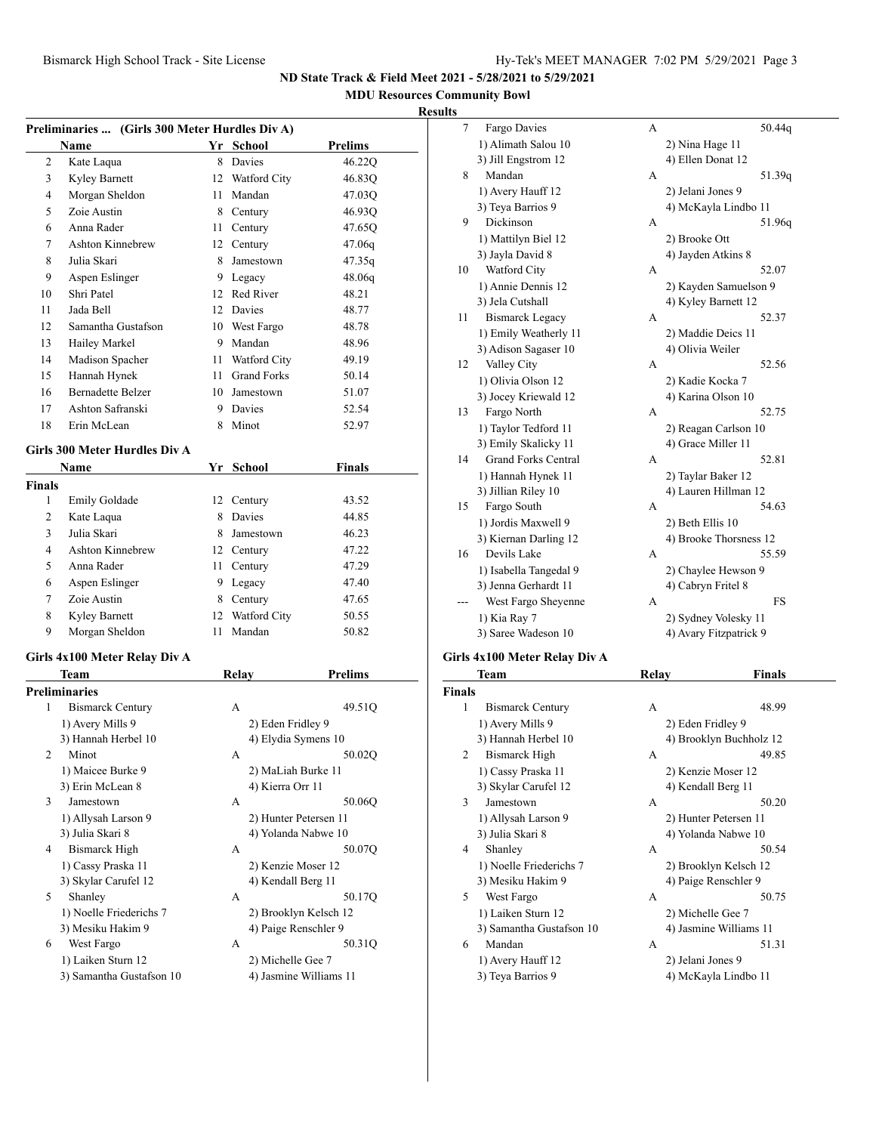**MDU Resources Community Bowl**

## **Results**

|                         | Preliminaries  (Girls 300 Meter Hurdles Div A) |      |                                             |         |
|-------------------------|------------------------------------------------|------|---------------------------------------------|---------|
|                         | Name                                           |      | Yr School                                   | Prelims |
| 2                       | Kate Laqua                                     | 8    | Davies                                      | 46.22Q  |
| 3                       | Kyley Barnett                                  | 12   | Watford City                                | 46.83Q  |
| 4                       | Morgan Sheldon                                 | 11   | Mandan                                      | 47.03Q  |
| 5                       | Zoie Austin                                    |      | 8 Century                                   | 46.93Q  |
| 6                       | Anna Rader                                     | 11 - | Century                                     | 47.65Q  |
| 7                       | <b>Ashton Kinnebrew</b>                        |      | 12 Century                                  | 47.06q  |
| 8                       | Julia Skari                                    | 8    | Jamestown                                   | 47.35q  |
| 9                       | Aspen Eslinger                                 | 9    | Legacy                                      | 48.06q  |
| 10                      | Shri Patel                                     |      | 12 Red River                                | 48.21   |
| 11                      | Jada Bell                                      |      | 12 Davies                                   | 48.77   |
| 12                      | Samantha Gustafson                             |      | 10 West Fargo                               | 48.78   |
| 13                      | Hailey Markel                                  | 9    | Mandan                                      | 48.96   |
| 14                      | Madison Spacher                                | 11   | Watford City                                | 49.19   |
| 15                      | Hannah Hynek                                   | 11   | <b>Grand Forks</b>                          | 50.14   |
| 16                      | <b>Bernadette Belzer</b>                       | 10   | Jamestown                                   | 51.07   |
| 17                      | Ashton Safranski                               | 9    | Davies                                      | 52.54   |
| 18                      | Erin McLean                                    | 8    | Minot                                       | 52.97   |
|                         |                                                |      |                                             |         |
|                         | Girls 300 Meter Hurdles Div A                  |      |                                             |         |
|                         | Name                                           |      | Yr School                                   | Finals  |
| <b>Finals</b>           |                                                |      |                                             |         |
| 1                       | Emily Goldade                                  | 12   | Century                                     | 43.52   |
| 2                       | Kate Laqua                                     | 8    | Davies                                      | 44.85   |
| 3                       | Julia Skari                                    | 8    | Jamestown                                   | 46.23   |
| 4                       | <b>Ashton Kinnebrew</b>                        | 12   | Century                                     | 47.22   |
| 5                       | Anna Rader                                     | 11   | Century                                     | 47.29   |
| 6                       | Aspen Eslinger                                 | 9    | Legacy                                      | 47.40   |
| 7                       | Zoie Austin                                    |      | 8 Century                                   | 47.65   |
| 8                       | <b>Kyley Barnett</b>                           | 12   | Watford City                                | 50.55   |
| 9                       | Morgan Sheldon                                 | 11   | Mandan                                      | 50.82   |
|                         | Girls 4x100 Meter Relay Div A                  |      |                                             |         |
|                         | Team                                           |      | <b>Relay</b>                                | Prelims |
|                         | <b>Preliminaries</b>                           |      |                                             |         |
| 1                       | <b>Bismarck Century</b>                        |      | A                                           | 49.51Q  |
|                         | 1) Avery Mills 9                               |      | 2) Eden Fridley 9                           |         |
|                         | 3) Hannah Herbel 10                            |      | 4) Elydia Symens 10                         |         |
| $\overline{\mathbf{c}}$ | Minot                                          |      | Α                                           | 50.02Q  |
|                         | 1) Maicee Burke 9                              |      | 2) MaLiah Burke 11                          |         |
|                         | 3) Erin McLean 8                               |      | 4) Kierra Orr 11                            |         |
| 3                       | Jamestown                                      |      | А                                           | 50.06Q  |
|                         | 1) Allysah Larson 9                            |      | 2) Hunter Petersen 11                       |         |
|                         | 3) Julia Skari 8                               |      | 4) Yolanda Nabwe 10                         |         |
| 4                       | Bismarck High                                  |      | А                                           | 50.07Q  |
|                         | 1) Cassy Praska 11                             |      | 2) Kenzie Moser 12                          |         |
|                         | 3) Skylar Carufel 12                           |      | 4) Kendall Berg 11                          |         |
| 5                       | Shanley                                        |      | А                                           | 50.17Q  |
|                         | 1) Noelle Friederichs 7                        |      | 2) Brooklyn Kelsch 12                       |         |
|                         |                                                |      |                                             |         |
|                         | 3) Mesiku Hakim 9                              |      |                                             |         |
| 6                       | West Fargo                                     |      | А                                           | 50.31Q  |
|                         | 1) Laiken Sturn 12<br>3) Samantha Gustafson 10 |      | 2) Michelle Gee 7<br>4) Jasmine Williams 11 |         |
|                         |                                                |      | 4) Paige Renschler 9                        |         |

| 7  | Fargo Davies               | А | 50.44q                 |    |
|----|----------------------------|---|------------------------|----|
|    | 1) Alimath Salou 10        |   | 2) Nina Hage 11        |    |
|    | 3) Jill Engstrom 12        |   | 4) Ellen Donat 12      |    |
| 8  | Mandan                     | A | 51.39q                 |    |
|    | 1) Avery Hauff 12          |   | 2) Jelani Jones 9      |    |
|    | 3) Teya Barrios 9          |   | 4) McKayla Lindbo 11   |    |
| 9  | Dickinson                  | А | 51.96q                 |    |
|    | 1) Mattilyn Biel 12        |   | 2) Brooke Ott          |    |
|    | 3) Jayla David 8           |   | 4) Jayden Atkins 8     |    |
| 10 | Watford City               | А | 52.07                  |    |
|    | 1) Annie Dennis 12         |   | 2) Kayden Samuelson 9  |    |
|    | 3) Jela Cutshall           |   | 4) Kyley Barnett 12    |    |
| 11 | <b>Bismarck Legacy</b>     | А | 52.37                  |    |
|    | 1) Emily Weatherly 11      |   | 2) Maddie Deics 11     |    |
|    | 3) Adison Sagaser 10       |   | 4) Olivia Weiler       |    |
| 12 | Valley City                | A | 52.56                  |    |
|    | 1) Olivia Olson 12         |   | 2) Kadie Kocka 7       |    |
|    | 3) Jocey Kriewald 12       |   | 4) Karina Olson 10     |    |
| 13 | Fargo North                | А | 52.75                  |    |
|    | 1) Taylor Tedford 11       |   | 2) Reagan Carlson 10   |    |
|    | 3) Emily Skalicky 11       |   | 4) Grace Miller 11     |    |
| 14 | <b>Grand Forks Central</b> | А | 52.81                  |    |
|    | 1) Hannah Hynek 11         |   | 2) Taylar Baker 12     |    |
|    | 3) Jillian Riley 10        |   | 4) Lauren Hillman 12   |    |
| 15 | Fargo South                | А | 54.63                  |    |
|    | 1) Jordis Maxwell 9        |   | 2) Beth Ellis 10       |    |
|    | 3) Kiernan Darling 12      |   | 4) Brooke Thorsness 12 |    |
| 16 | Devils Lake                | А | 55.59                  |    |
|    | 1) Isabella Tangedal 9     |   | 2) Chaylee Hewson 9    |    |
|    | 3) Jenna Gerhardt 11       |   | 4) Cabryn Fritel 8     |    |
|    | West Fargo Sheyenne        | A |                        | FS |
|    | 1) Kia Ray 7               |   | 2) Sydney Volesky 11   |    |
|    | 3) Saree Wadeson 10        |   | 4) Avary Fitzpatrick 9 |    |
|    |                            |   |                        |    |

#### **Girls 4x100 Meter Relay Div A**

|                | Team                     | Relay              | <b>Finals</b>           |
|----------------|--------------------------|--------------------|-------------------------|
| <b>Finals</b>  |                          |                    |                         |
| 1              | <b>Bismarck Century</b>  | A                  | 48.99                   |
|                | 1) Avery Mills 9         | 2) Eden Fridley 9  |                         |
|                | 3) Hannah Herbel 10      |                    | 4) Brooklyn Buchholz 12 |
| $\overline{c}$ | Bismarck High            | A                  | 49.85                   |
|                | 1) Cassy Praska 11       |                    | 2) Kenzie Moser 12      |
|                | 3) Skylar Carufel 12     | 4) Kendall Berg 11 |                         |
| 3              | Jamestown                | A                  | 50.20                   |
|                | 1) Allysah Larson 9      |                    | 2) Hunter Petersen 11   |
|                | 3) Julia Skari 8         |                    | 4) Yolanda Nabwe 10     |
| 4              | Shanley                  | A                  | 50.54                   |
|                | 1) Noelle Friederichs 7  |                    | 2) Brooklyn Kelsch 12   |
|                | 3) Mesiku Hakim 9        |                    | 4) Paige Renschler 9    |
| 5              | West Fargo               | A                  | 50.75                   |
|                | 1) Laiken Sturn 12       | 2) Michelle Gee 7  |                         |
|                | 3) Samantha Gustafson 10 |                    | 4) Jasmine Williams 11  |
| 6              | Mandan                   | A                  | 51.31                   |
|                | 1) Avery Hauff 12        | 2) Jelani Jones 9  |                         |
|                | 3) Teya Barrios 9        |                    | 4) McKayla Lindbo 11    |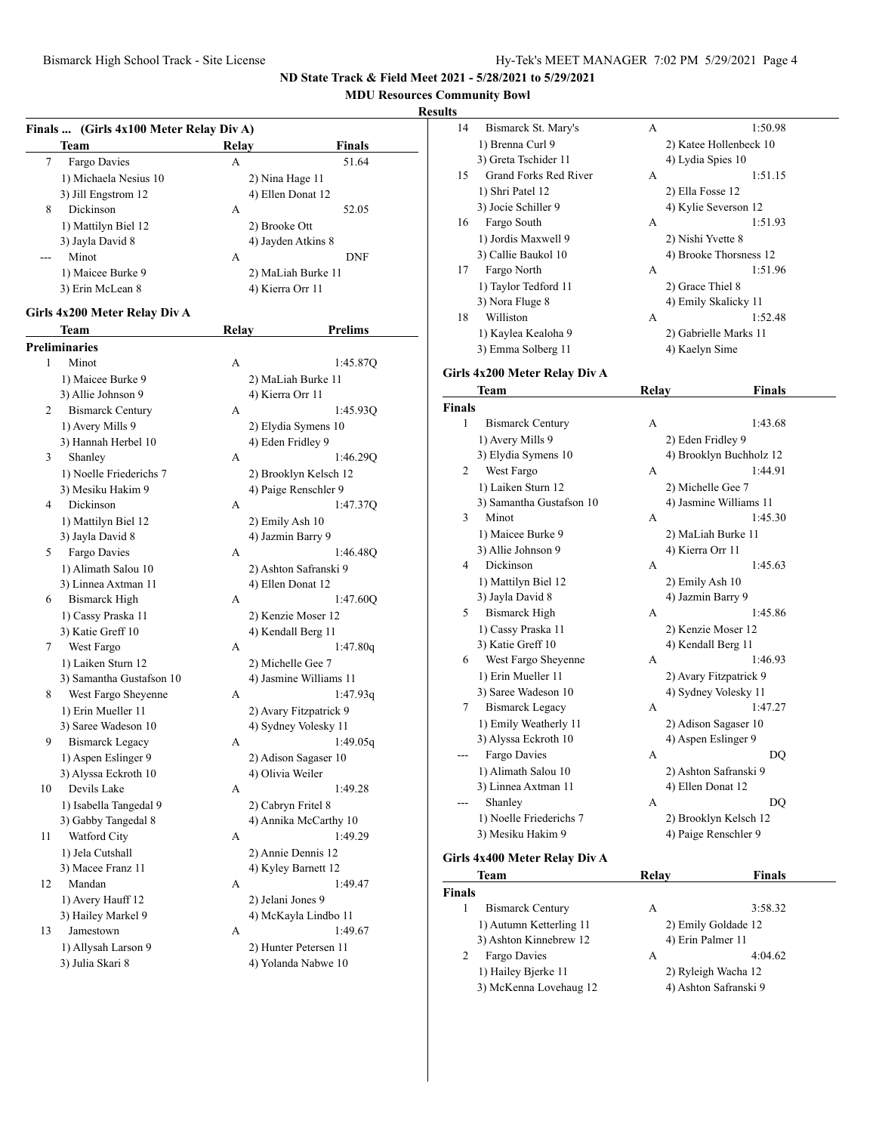# **MDU Resources Community Bowl**

## **Results**

|    | Finals  (Girls 4x100 Meter Relay Div A) |       |                        |  |
|----|-----------------------------------------|-------|------------------------|--|
|    | Team                                    | Relay | <b>Finals</b>          |  |
| 7  | Fargo Davies                            | А     | 51.64                  |  |
|    | 1) Michaela Nesius 10                   |       | 2) Nina Hage 11        |  |
|    | 3) Jill Engstrom 12                     |       | 4) Ellen Donat 12      |  |
| 8  | Dickinson                               | А     | 52.05                  |  |
|    | 1) Mattilyn Biel 12                     |       | 2) Brooke Ott          |  |
|    | 3) Jayla David 8                        |       | 4) Jayden Atkins 8     |  |
|    | Minot                                   | A     | DNF                    |  |
|    | 1) Maicee Burke 9                       |       | 2) MaLiah Burke 11     |  |
|    | 3) Erin McLean 8                        |       | 4) Kierra Orr 11       |  |
|    |                                         |       |                        |  |
|    | Girls 4x200 Meter Relay Div A           |       |                        |  |
|    | Team                                    | Relay | <b>Prelims</b>         |  |
|    | <b>Preliminaries</b>                    |       |                        |  |
| 1  | Minot                                   | А     | 1:45.87Q               |  |
|    | 1) Maicee Burke 9                       |       | 2) MaLiah Burke 11     |  |
|    | 3) Allie Johnson 9                      |       | 4) Kierra Orr 11       |  |
| 2  | <b>Bismarck Century</b>                 | A     | 1:45.93Q               |  |
|    | 1) Avery Mills 9                        |       | 2) Elydia Symens 10    |  |
|    | 3) Hannah Herbel 10                     |       | 4) Eden Fridley 9      |  |
| 3  | Shanley                                 | A     | 1:46.29Q               |  |
|    | 1) Noelle Friederichs 7                 |       | 2) Brooklyn Kelsch 12  |  |
|    | 3) Mesiku Hakim 9                       |       | 4) Paige Renschler 9   |  |
| 4  | Dickinson                               | A     | 1:47.37Q               |  |
|    | 1) Mattilyn Biel 12                     |       | 2) Emily Ash 10        |  |
|    | 3) Jayla David 8                        |       | 4) Jazmin Barry 9      |  |
| 5  | Fargo Davies                            | А     | 1:46.48Q               |  |
|    | 1) Alimath Salou 10                     |       | 2) Ashton Safranski 9  |  |
|    | 3) Linnea Axtman 11                     |       | 4) Ellen Donat 12      |  |
| 6  | <b>Bismarck High</b>                    | A     | 1:47.60Q               |  |
|    | 1) Cassy Praska 11                      |       | 2) Kenzie Moser 12     |  |
|    | 3) Katie Greff 10                       |       | 4) Kendall Berg 11     |  |
| 7  | West Fargo                              | А     | 1:47.80q               |  |
|    | 1) Laiken Sturn 12                      |       | 2) Michelle Gee 7      |  |
|    | 3) Samantha Gustafson 10                |       | 4) Jasmine Williams 11 |  |
| 8  | West Fargo Sheyenne                     | A     | 1:47.93q               |  |
|    | 1) Erin Mueller 11                      |       | 2) Avary Fitzpatrick 9 |  |
|    | 3) Saree Wadeson 10                     |       | 4) Sydney Volesky 11   |  |
| 9  | <b>Bismarck Legacy</b>                  | А     | 1:49.05q               |  |
|    | 1) Aspen Eslinger 9                     |       | 2) Adison Sagaser 10   |  |
|    | 3) Alyssa Eckroth 10                    |       | 4) Olivia Weiler       |  |
| 10 | Devils Lake                             | А     | 1:49.28                |  |
|    | 1) Isabella Tangedal 9                  |       | 2) Cabryn Fritel 8     |  |
|    | 3) Gabby Tangedal 8                     |       | 4) Annika McCarthy 10  |  |
| 11 | Watford City                            | А     | 1:49.29                |  |
|    | 1) Jela Cutshall                        |       | 2) Annie Dennis 12     |  |
|    | 3) Macee Franz 11                       |       | 4) Kyley Barnett 12    |  |
| 12 | Mandan                                  | А     | 1:49.47                |  |
|    | 1) Avery Hauff 12                       |       | 2) Jelani Jones 9      |  |
|    | 3) Hailey Markel 9                      |       | 4) McKayla Lindbo 11   |  |
| 13 | Jamestown                               | А     | 1:49.67                |  |
|    | 1) Allysah Larson 9                     |       | 2) Hunter Petersen 11  |  |
|    | 3) Julia Skari 8                        |       | 4) Yolanda Nabwe 10    |  |

| ults          |                               |              |                         |
|---------------|-------------------------------|--------------|-------------------------|
| 14            | Bismarck St. Mary's           | А            | 1:50.98                 |
|               | 1) Brenna Curl 9              |              | 2) Katee Hollenbeck 10  |
|               | 3) Greta Tschider 11          |              | 4) Lydia Spies 10       |
| 15            | <b>Grand Forks Red River</b>  | A            | 1:51.15                 |
|               | 1) Shri Patel 12              |              | 2) Ella Fosse 12        |
|               | 3) Jocie Schiller 9           |              | 4) Kylie Severson 12    |
| 16            | Fargo South                   | А            | 1:51.93                 |
|               | 1) Jordis Maxwell 9           |              | 2) Nishi Yvette 8       |
|               | 3) Callie Baukol 10           |              | 4) Brooke Thorsness 12  |
| 17            | Fargo North                   | А            | 1:51.96                 |
|               | 1) Taylor Tedford 11          |              | 2) Grace Thiel 8        |
|               | 3) Nora Fluge 8               |              | 4) Emily Skalicky 11    |
| 18            | Williston                     | А            | 1:52.48                 |
|               | 1) Kaylea Kealoha 9           |              | 2) Gabrielle Marks 11   |
|               | 3) Emma Solberg 11            |              | 4) Kaelyn Sime          |
|               |                               |              |                         |
|               | Girls 4x200 Meter Relay Div A |              |                         |
|               | Team                          | <b>Relay</b> | <b>Finals</b>           |
| <b>Finals</b> |                               |              |                         |
| 1             | <b>Bismarck Century</b>       | A            | 1:43.68                 |
|               | 1) Avery Mills 9              |              | 2) Eden Fridley 9       |
|               | 3) Elydia Symens 10           |              | 4) Brooklyn Buchholz 12 |
| 2             | West Fargo                    | A            | 1:44.91                 |
|               | 1) Laiken Sturn 12            |              | 2) Michelle Gee 7       |
|               | 3) Samantha Gustafson 10      |              | 4) Jasmine Williams 11  |
| 3             | Minot                         | A            | 1:45.30                 |
|               | 1) Maicee Burke 9             |              | 2) MaLiah Burke 11      |
|               | 3) Allie Johnson 9            |              | 4) Kierra Orr 11        |
| 4             | Dickinson                     | A            | 1:45.63                 |
|               | 1) Mattilyn Biel 12           |              | 2) Emily Ash 10         |
|               | 3) Jayla David 8              |              | 4) Jazmin Barry 9       |
| 5             | <b>Bismarck High</b>          | A            | 1:45.86                 |
|               | 1) Cassy Praska 11            |              | 2) Kenzie Moser 12      |
|               | 3) Katie Greff 10             |              | 4) Kendall Berg 11      |
| 6             | West Fargo Sheyenne           | А            | 1:46.93                 |
|               | 1) Erin Mueller 11            |              | 2) Avary Fitzpatrick 9  |
|               | 3) Saree Wadeson 10           |              | 4) Sydney Volesky 11    |
| 7             | <b>Bismarck Legacy</b>        | А            | 1:47.27                 |
|               | 1) Emily Weatherly 11         |              | 2) Adison Sagaser 10    |
|               | 3) Alyssa Eckroth 10          |              | 4) Aspen Eslinger 9     |
|               | Fargo Davies                  | А            | DQ                      |
|               | 1) Alimath Salou 10           |              | 2) Ashton Safranski 9   |

3) Linnea Axtman 11 4) Ellen Donat 12 --- Shanley A DQ 1) Noelle Friederichs 7 2) Brooklyn Kelsch 12 3) Mesiku Hakim 9 4) Paige Renschler 9

## **Girls 4x400 Meter Relay Div A**

|               | Team                    | Relav             | <b>Finals</b>         |
|---------------|-------------------------|-------------------|-----------------------|
| <b>Finals</b> |                         |                   |                       |
|               | <b>Bismarck Century</b> | А                 | 3:58.32               |
|               | 1) Autumn Ketterling 11 |                   | 2) Emily Goldade 12   |
|               | 3) Ashton Kinnebrew 12  | 4) Erin Palmer 11 |                       |
| 2             | Fargo Davies            | А                 | 4:04.62               |
|               | 1) Hailey Bierke 11     |                   | 2) Ryleigh Wacha 12   |
|               | 3) McKenna Lovehaug 12  |                   | 4) Ashton Safranski 9 |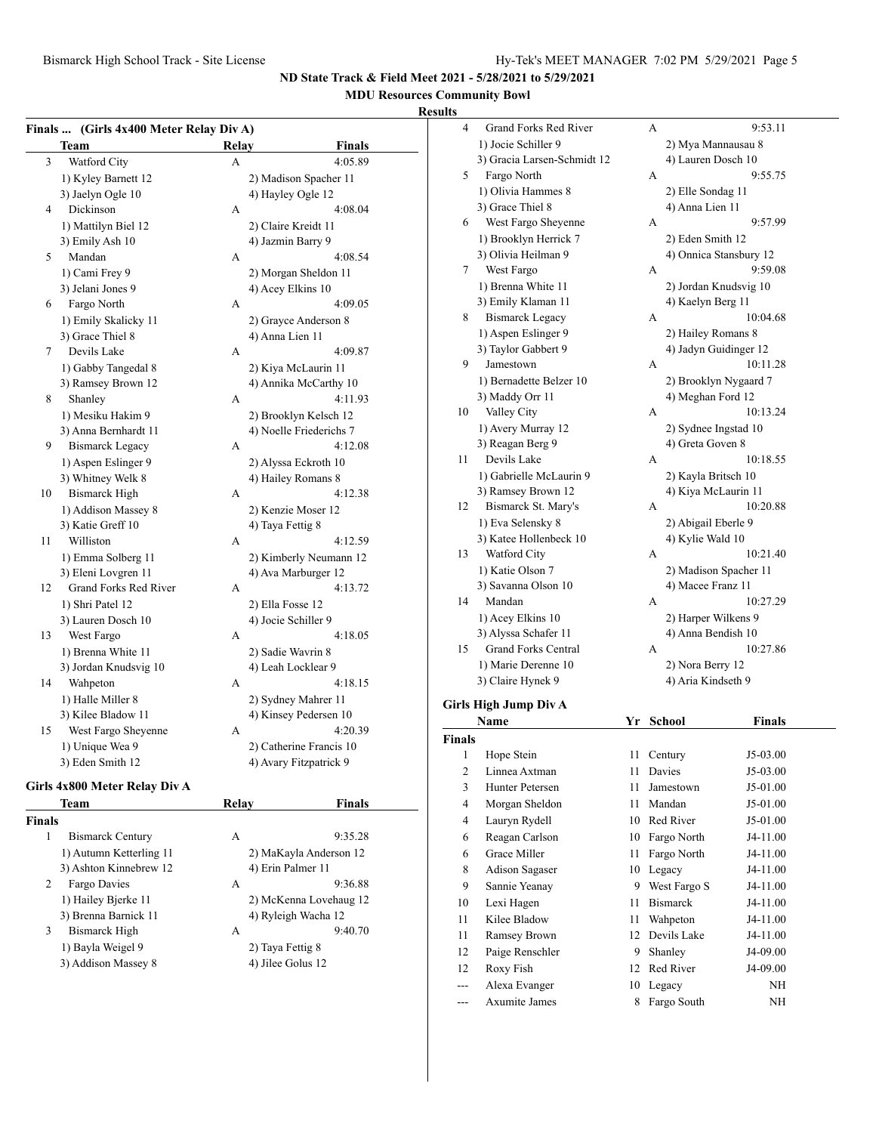# **MDU Resources Community Bowl**

## **Results**

| <b>Finals</b>  | (Girls 4x400 Meter Relay Div A) |       |                         |
|----------------|---------------------------------|-------|-------------------------|
|                | Team                            | Relay | <b>Finals</b>           |
| 3              | Watford City                    | A     | 4:05.89                 |
|                | 1) Kyley Barnett 12             |       | 2) Madison Spacher 11   |
|                | 3) Jaelyn Ogle 10               |       | 4) Hayley Ogle 12       |
| $\overline{4}$ | Dickinson                       | А     | 4:08.04                 |
|                | 1) Mattilyn Biel 12             |       | 2) Claire Kreidt 11     |
|                | 3) Emily Ash 10                 |       | 4) Jazmin Barry 9       |
| 5              | Mandan                          | A     | 4:08.54                 |
|                | 1) Cami Frey 9                  |       | 2) Morgan Sheldon 11    |
|                | 3) Jelani Jones 9               |       | 4) Acey Elkins 10       |
| 6              | Fargo North                     | A     | 4:09.05                 |
|                | 1) Emily Skalicky 11            |       | 2) Grayce Anderson 8    |
|                | 3) Grace Thiel 8                |       | 4) Anna Lien 11         |
| 7              | Devils Lake                     | А     | 4:09.87                 |
|                | 1) Gabby Tangedal 8             |       | 2) Kiya McLaurin 11     |
|                | 3) Ramsey Brown 12              |       | 4) Annika McCarthy 10   |
| 8              | Shanley                         | A     | 4:11.93                 |
|                | 1) Mesiku Hakim 9               |       | 2) Brooklyn Kelsch 12   |
|                | 3) Anna Bernhardt 11            |       | 4) Noelle Friederichs 7 |
| 9              | <b>Bismarck Legacy</b>          | A     | 4:12.08                 |
|                | 1) Aspen Eslinger 9             |       | 2) Alyssa Eckroth 10    |
|                | 3) Whitney Welk 8               |       | 4) Hailey Romans 8      |
| 10             | <b>Bismarck High</b>            | A     | 4:12.38                 |
|                | 1) Addison Massey 8             |       | 2) Kenzie Moser 12      |
|                | 3) Katie Greff 10               |       | 4) Taya Fettig 8        |
| 11             | Williston                       | A     | 4:12.59                 |
|                | 1) Emma Solberg 11              |       | 2) Kimberly Neumann 12  |
|                | 3) Eleni Lovgren 11             |       | 4) Ava Marburger 12     |
| 12             | Grand Forks Red River           | А     | 4:13.72                 |
|                | 1) Shri Patel 12                |       | 2) Ella Fosse 12        |
|                | 3) Lauren Dosch 10              |       | 4) Jocie Schiller 9     |
| 13             | West Fargo                      | A     | 4:18.05                 |
|                | 1) Brenna White 11              |       | 2) Sadie Wavrin 8       |
|                | 3) Jordan Knudsvig 10           |       | 4) Leah Locklear 9      |
| 14             | Wahpeton                        | A     | 4:18.15                 |
|                | 1) Halle Miller 8               |       | 2) Sydney Mahrer 11     |
|                | 3) Kilee Bladow 11              |       | 4) Kinsey Pedersen 10   |
| 15             | West Fargo Sheyenne             | А     | 4:20.39                 |
|                | 1) Unique Wea 9                 |       | 2) Catherine Francis 10 |
|                | 3) Eden Smith 12                |       | 4) Avary Fitzpatrick 9  |
|                |                                 |       |                         |

## **Girls 4x800 Meter Relay Div A**

| <b>Team</b>                  | Relav             | <b>Finals</b>          |
|------------------------------|-------------------|------------------------|
| <b>Finals</b>                |                   |                        |
| <b>Bismarck Century</b><br>1 | A                 | 9:35.28                |
| 1) Autumn Ketterling 11      |                   | 2) MaKayla Anderson 12 |
| 3) Ashton Kinnebrew 12       | 4) Erin Palmer 11 |                        |
| Fargo Davies<br>2            | А                 | 9:36.88                |
| 1) Hailey Bjerke 11          |                   | 2) McKenna Lovehaug 12 |
| 3) Brenna Barnick 11         |                   | 4) Ryleigh Wacha 12    |
| 3<br><b>Bismarck High</b>    | А                 | 9:40.70                |
| 1) Bayla Weigel 9            | 2) Taya Fettig 8  |                        |
| 3) Addison Massey 8          | 4) Jilee Golus 12 |                        |
|                              |                   |                        |

| 4  | <b>Grand Forks Red River</b> | А | 9:53.11                |
|----|------------------------------|---|------------------------|
|    | 1) Jocie Schiller 9          |   | 2) Mya Mannausau 8     |
|    | 3) Gracia Larsen-Schmidt 12  |   | 4) Lauren Dosch 10     |
| 5  | Fargo North                  | А | 9:55.75                |
|    | 1) Olivia Hammes 8           |   | 2) Elle Sondag 11      |
|    | 3) Grace Thiel 8             |   | 4) Anna Lien 11        |
| 6  | West Fargo Sheyenne          | А | 9:57.99                |
|    | 1) Brooklyn Herrick 7        |   | 2) Eden Smith 12       |
|    | 3) Olivia Heilman 9          |   | 4) Onnica Stansbury 12 |
| 7  | West Fargo                   | А | 9:59.08                |
|    | 1) Brenna White 11           |   | 2) Jordan Knudsvig 10  |
|    | 3) Emily Klaman 11           |   | 4) Kaelyn Berg 11      |
| 8  | <b>Bismarck Legacy</b>       | A | 10:04.68               |
|    | 1) Aspen Eslinger 9          |   | 2) Hailey Romans 8     |
|    | 3) Taylor Gabbert 9          |   | 4) Jadyn Guidinger 12  |
| 9  | Jamestown                    | A | 10:11.28               |
|    | 1) Bernadette Belzer 10      |   | 2) Brooklyn Nygaard 7  |
|    | 3) Maddy Orr 11              |   | 4) Meghan Ford 12      |
| 10 | Valley City                  | A | 10:13.24               |
|    | 1) Avery Murray 12           |   | 2) Sydnee Ingstad 10   |
|    | 3) Reagan Berg 9             |   | 4) Greta Goven 8       |
| 11 | Devils Lake                  | A | 10:18.55               |
|    | 1) Gabrielle McLaurin 9      |   | 2) Kayla Britsch 10    |
|    | 3) Ramsey Brown 12           |   | 4) Kiya McLaurin 11    |
| 12 | Bismarck St. Mary's          | A | 10:20.88               |
|    | 1) Eva Selensky 8            |   | 2) Abigail Eberle 9    |
|    | 3) Katee Hollenbeck 10       |   | 4) Kylie Wald 10       |
| 13 | Watford City                 | A | 10:21.40               |
|    | 1) Katie Olson 7             |   | 2) Madison Spacher 11  |
|    | 3) Savanna Olson 10          |   | 4) Macee Franz 11      |
| 14 | Mandan                       | А | 10:27.29               |
|    | 1) Acey Elkins 10            |   | 2) Harper Wilkens 9    |
|    | 3) Alyssa Schafer 11         |   | 4) Anna Bendish 10     |
| 15 | <b>Grand Forks Central</b>   | А | 10:27.86               |
|    | 1) Marie Derenne 10          |   | 2) Nora Berry 12       |
|    | 3) Claire Hynek 9            |   | 4) Aria Kindseth 9     |
|    |                              |   |                        |

## **Girls High Jump Div A**

|               | Name                 | Yr | <b>School</b>   | Finals     |  |
|---------------|----------------------|----|-----------------|------------|--|
| <b>Finals</b> |                      |    |                 |            |  |
| 1             | Hope Stein           | 11 | Century         | $J5-03.00$ |  |
| 2             | Linnea Axtman        | 11 | Davies          | $J5-03.00$ |  |
| 3             | Hunter Petersen      | 11 | Jamestown       | J5-01.00   |  |
| 4             | Morgan Sheldon       | 11 | Mandan          | J5-01.00   |  |
| 4             | Lauryn Rydell        | 10 | Red River       | J5-01.00   |  |
| 6             | Reagan Carlson       | 10 | Fargo North     | J4-11.00   |  |
| 6             | Grace Miller         | 11 | Fargo North     | J4-11.00   |  |
| 8             | Adison Sagaser       | 10 | Legacy          | J4-11.00   |  |
| 9             | Sannie Yeanay        | 9  | West Fargo S    | J4-11.00   |  |
| 10            | Lexi Hagen           | 11 | <b>Bismarck</b> | J4-11.00   |  |
| 11            | Kilee Bladow         | 11 | Wahpeton        | J4-11.00   |  |
| 11            | Ramsey Brown         | 12 | Devils Lake     | J4-11.00   |  |
| 12            | Paige Renschler      | 9  | Shanley         | J4-09.00   |  |
| 12            | Roxy Fish            | 12 | Red River       | J4-09.00   |  |
| ---           | Alexa Evanger        | 10 | Legacy          | NH         |  |
|               | <b>Axumite James</b> | 8  | Fargo South     | NH         |  |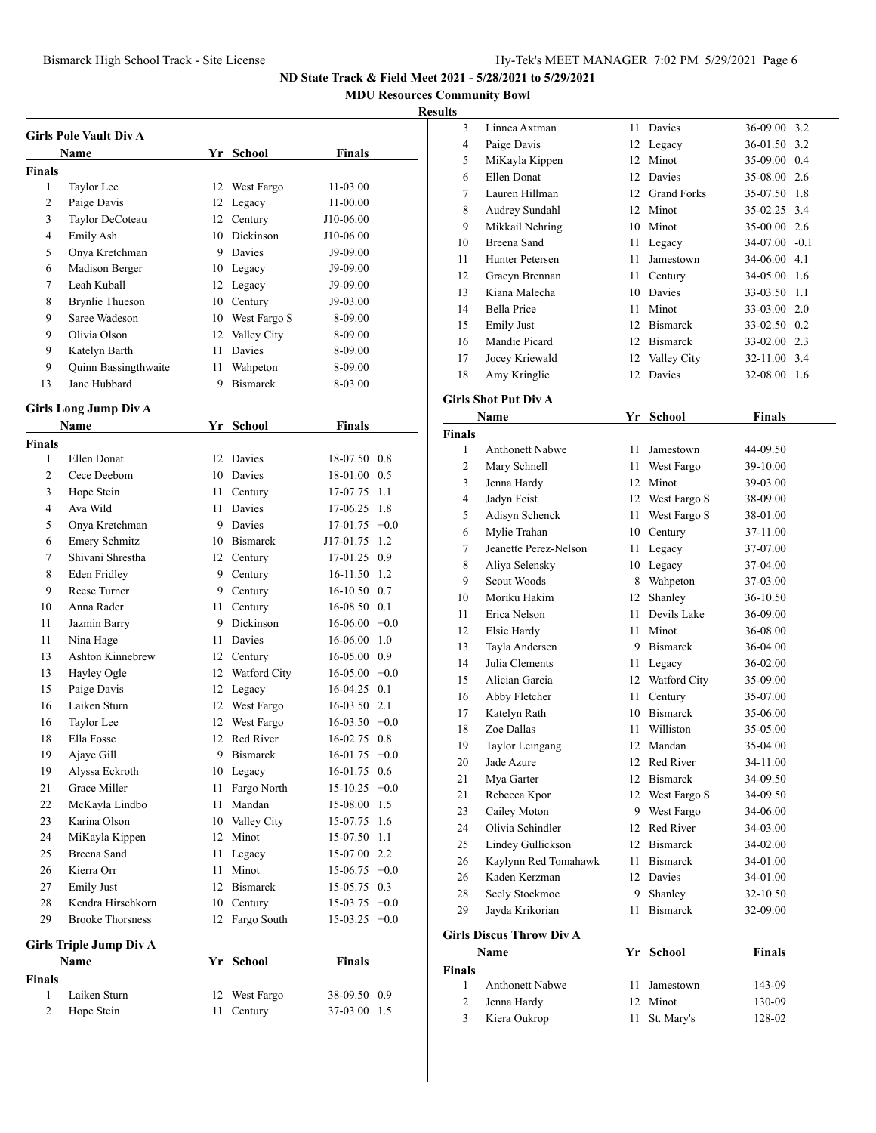**MDU Resources Community Bowl**

## **Results**

|               | <b>Girls Pole Vault Div A</b> |    |                 |               |  |
|---------------|-------------------------------|----|-----------------|---------------|--|
|               | <b>Name</b>                   | Yr | School          | <b>Finals</b> |  |
| <b>Finals</b> |                               |    |                 |               |  |
| 1             | Taylor Lee                    | 12 | West Fargo      | 11-03.00      |  |
| 2             | Paige Davis                   | 12 | Legacy          | 11-00.00      |  |
| 3             | Taylor DeCoteau               | 12 | Century         | J10-06.00     |  |
| 4             | Emily Ash                     | 10 | Dickinson       | J10-06.00     |  |
| 5             | Onya Kretchman                | 9  | Davies          | J9-09.00      |  |
| 6             | Madison Berger                | 10 | Legacy          | J9-09.00      |  |
| 7             | Leah Kuball                   |    | 12 Legacy       | J9-09.00      |  |
| 8             | <b>Brynlie Thueson</b>        | 10 | Century         | J9-03.00      |  |
| 9             | Saree Wadeson                 | 10 | West Fargo S    | 8-09.00       |  |
| 9             | Olivia Olson                  | 12 | Valley City     | 8-09.00       |  |
| 9             | Katelyn Barth                 | 11 | Davies          | 8-09.00       |  |
| 9             | Quinn Bassingthwaite          | 11 | Wahpeton        | 8-09.00       |  |
| 13            | Jane Hubbard                  | 9  | <b>Bismarck</b> | 8-03.00       |  |

## **Girls Long Jump Div A**

|                | <b>Name</b>                    | Yr | School           | <b>Finals</b>   |               |
|----------------|--------------------------------|----|------------------|-----------------|---------------|
| <b>Finals</b>  |                                |    |                  |                 |               |
| 1              | Ellen Donat                    | 12 | Davies           | 18-07.50        | 0.8           |
| $\overline{c}$ | Cece Deebom                    | 10 | Davies           | 18-01.00        | 0.5           |
| 3              | Hope Stein                     | 11 | Century          | 17-07.75        | 1.1           |
| 4              | Ava Wild                       | 11 | Davies           | 17-06.25        | 1.8           |
| 5              | Onya Kretchman                 | 9  | Davies           | 17-01.75        | $+0.0$        |
| 6              | <b>Emery Schmitz</b>           |    | 10 Bismarck      | J17-01.75       | 1.2           |
| 7              | Shivani Shrestha               | 12 | Century          | 17-01.25        | 0.9           |
| 8              | Eden Fridley                   | 9. | Century          | 16-11.50        | 1.2           |
| 9              | Reese Turner                   | 9. | Century          | 16-10.50        | 0.7           |
| 10             | Anna Rader                     | 11 | Century          | 16-08.50        | 0.1           |
| 11             | Jazmin Barry                   | 9  | <b>Dickinson</b> | 16-06.00        | $+0.0$        |
| 11             | Nina Hage                      | 11 | Davies           | 16-06.00        | 1.0           |
| 13             | Ashton Kinnebrew               |    | 12 Century       | 16-05.00        | 0.9           |
| 13             | Hayley Ogle                    |    | 12 Watford City  | $16-05.00 +0.0$ |               |
| 15             | Paige Davis                    |    | 12 Legacy        | 16-04.25        | 0.1           |
| 16             | Laiken Sturn                   |    | 12 West Fargo    | 16-03.50        | 2.1           |
| 16             | Taylor Lee                     |    | 12 West Fargo    | $16-03.50 +0.0$ |               |
| 18             | Ella Fosse                     | 12 | Red River        | 16-02.75        | 0.8           |
| 19             | Ajaye Gill                     | 9  | Bismarck         | 16-01.75        | $+0.0$        |
| 19             | Alyssa Eckroth                 |    | 10 Legacy        | 16-01.75        | $0.6^{\circ}$ |
| 21             | Grace Miller                   | 11 | Fargo North      | 15-10.25        | $+0.0$        |
| 22             | McKayla Lindbo                 | 11 | Mandan           | 15-08.00        | 1.5           |
| 23             | Karina Olson                   |    | 10 Valley City   | 15-07.75        | 1.6           |
| 24             | MiKayla Kippen                 | 12 | Minot            | 15-07.50        | 1.1           |
| 25             | Breena Sand                    | 11 | Legacy           | 15-07.00        | 2.2           |
| 26             | Kierra Orr                     | 11 | Minot            | 15-06.75        | $+0.0$        |
| 27             | <b>Emily Just</b>              | 12 | Bismarck         | 15-05.75        | 0.3           |
| 28             | Kendra Hirschkorn              | 10 | Century          | 15-03.75        | $+0.0$        |
| 29             | <b>Brooke Thorsness</b>        | 12 | Fargo South      | 15-03.25        | $+0.0$        |
|                | <b>Girls Triple Jump Div A</b> |    |                  |                 |               |
|                | <b>Name</b>                    | Yr | <b>School</b>    | <b>Finals</b>   |               |
| <b>Finals</b>  |                                |    |                  |                 |               |
| 1              | Laiken Sturn                   | 12 | West Fargo       | 38-09.50        | 0.9           |
| $\overline{2}$ | Hope Stein                     | 11 | Century          | 37-03.00        | 1.5           |

| 3             | Linnea Axtman                   | 11 - | Davies          | 36-09.00 3.2      |  |
|---------------|---------------------------------|------|-----------------|-------------------|--|
| 4             | Paige Davis                     | 12   | Legacy          | 36-01.50 3.2      |  |
| 5             | MiKayla Kippen                  |      | 12 Minot        | 35-09.00 0.4      |  |
| 6             | Ellen Donat                     |      | 12 Davies       | 35-08.00 2.6      |  |
| 7             | Lauren Hillman                  |      | 12 Grand Forks  | 35-07.50 1.8      |  |
| 8             | Audrey Sundahl                  |      | 12 Minot        | 35-02.25 3.4      |  |
| 9             | Mikkail Nehring                 |      | 10 Minot        | 35-00.00 2.6      |  |
| 10            | Breena Sand                     | 11   | Legacy          | $34-07.00$ $-0.1$ |  |
| 11            | Hunter Petersen                 | 11 - | Jamestown       | 34-06.00 4.1      |  |
| 12            | Gracyn Brennan                  |      | 11 Century      | 34-05.00 1.6      |  |
| 13            | Kiana Malecha                   |      | 10 Davies       | 33-03.50 1.1      |  |
| 14            | Bella Price                     |      | 11 Minot        | 33-03.00 2.0      |  |
| 15            | <b>Emily Just</b>               |      | 12 Bismarck     | 33-02.50 0.2      |  |
| 16            | Mandie Picard                   |      | 12 Bismarck     | 33-02.00 2.3      |  |
| 17            | Jocey Kriewald                  |      | 12 Valley City  | 32-11.00 3.4      |  |
| 18            | Amy Kringlie                    |      | 12 Davies       | 32-08.00 1.6      |  |
|               | <b>Girls Shot Put Div A</b>     |      |                 |                   |  |
|               | Name                            |      | Yr School       | <b>Finals</b>     |  |
| <b>Finals</b> |                                 |      |                 |                   |  |
| 1             | <b>Anthonett Nabwe</b>          | 11 - | Jamestown       | 44-09.50          |  |
| 2             | Mary Schnell                    |      | 11 West Fargo   | 39-10.00          |  |
| 3             | Jenna Hardy                     |      | 12 Minot        | 39-03.00          |  |
| 4             | Jadyn Feist                     |      | 12 West Fargo S | 38-09.00          |  |
| 5             | Adisyn Schenck                  |      | 11 West Fargo S | 38-01.00          |  |
| 6             | Mylie Trahan                    |      | 10 Century      | 37-11.00          |  |
| 7             | Jeanette Perez-Nelson           | 11 - | Legacy          | 37-07.00          |  |
| 8             | Aliya Selensky                  |      | 10 Legacy       | 37-04.00          |  |
| 9             | Scout Woods                     |      | 8 Wahpeton      | 37-03.00          |  |
| 10            | Moriku Hakim                    | 12   | Shanley         | 36-10.50          |  |
| 11            | Erica Nelson                    | 11 - | Devils Lake     | 36-09.00          |  |
| 12            | Elsie Hardy                     | 11 - | Minot           | 36-08.00          |  |
| 13            | Tayla Andersen                  |      | 9 Bismarck      | 36-04.00          |  |
| 14            | Julia Clements                  | 11 - | Legacy          | 36-02.00          |  |
| 15            | Alician Garcia                  |      | 12 Watford City | 35-09.00          |  |
| 16            | Abby Fletcher                   | 11 - | Century         | 35-07.00          |  |
| 17            | Katelyn Rath                    |      | 10 Bismarck     | 35-06.00          |  |
| 18            | Zoe Dallas                      | 11 - | Williston       | 35-05.00          |  |
| 19            | Taylor Leingang                 |      | 12 Mandan       | 35-04.00          |  |
| 20            | Jade Azure                      |      | 12 Red River    | 34-11.00          |  |
| 21            | Mya Garter                      |      | 12 Bismarck     | 34-09.50          |  |
| 21            | Rebecca Kpor                    | 12   | West Fargo S    | 34-09.50          |  |
| 23            | Cailey Moton                    |      | 9 West Fargo    | 34-06.00          |  |
| 24            | Olivia Schindler                | 12   | Red River       | 34-03.00          |  |
| 25            | Lindey Gullickson               | 12   | <b>Bismarck</b> | 34-02.00          |  |
| 26            | Kaylynn Red Tomahawk            | 11   | <b>Bismarck</b> | 34-01.00          |  |
| 26            | Kaden Kerzman                   |      | 12 Davies       | 34-01.00          |  |
| 28            | Seely Stockmoe                  | 9    | Shanley         | 32-10.50          |  |
| 29            | Jayda Krikorian                 | 11   | <b>Bismarck</b> | 32-09.00          |  |
|               | <b>Girls Discus Throw Div A</b> |      |                 |                   |  |
|               | Name                            |      | Yr School       | Finals            |  |

|        | <b>Name</b>            | Yr School     | <b>Finals</b> |  |
|--------|------------------------|---------------|---------------|--|
| Finals |                        |               |               |  |
|        | <b>Anthonett Nabwe</b> | 11 Jamestown  | 143-09        |  |
|        | Jenna Hardy            | 12 Minot      | 130-09        |  |
|        | Kiera Oukrop           | 11 St. Mary's | 128-02        |  |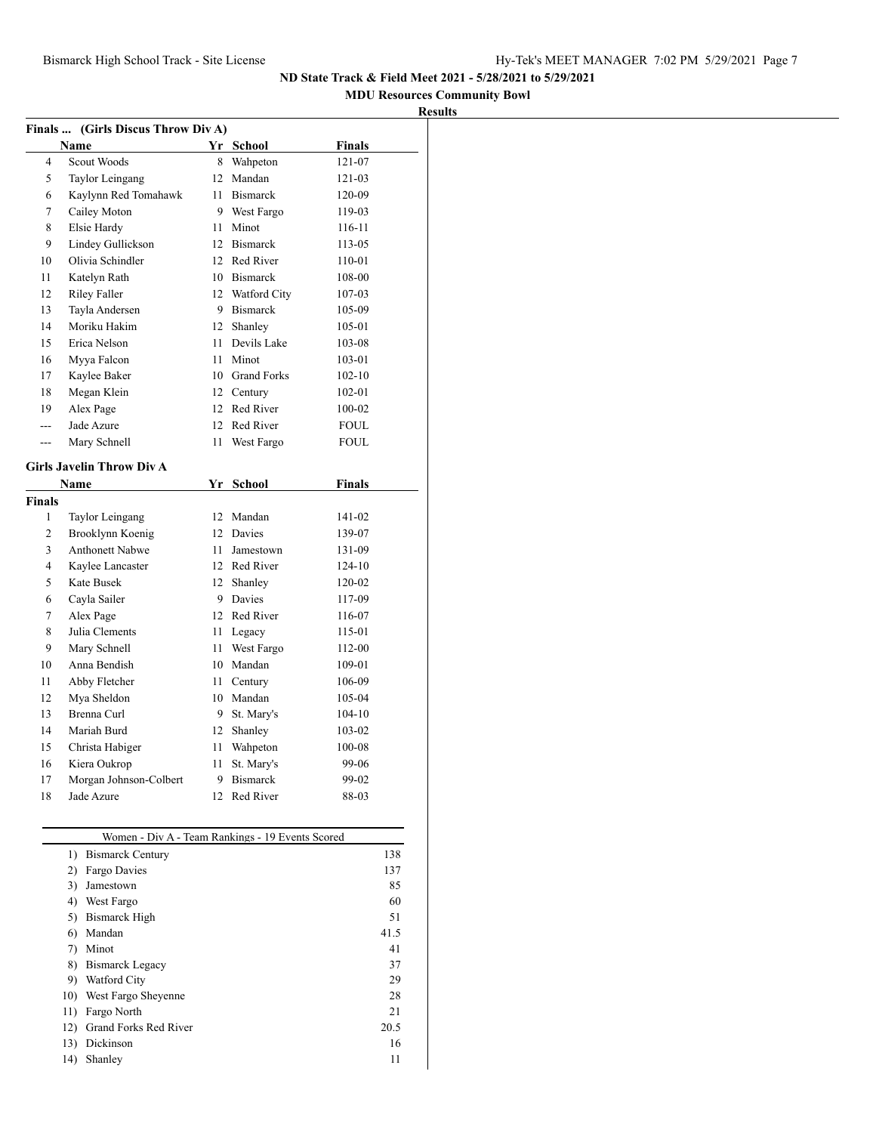## **MDU Resources Community Bowl**

| <b>Results</b> |
|----------------|
|----------------|

|         | Finals  (Girls Discus Throw Div A)               |    |                               |               |     |
|---------|--------------------------------------------------|----|-------------------------------|---------------|-----|
|         | Name                                             |    | Yr School                     | <b>Finals</b> |     |
| 4       | Scout Woods                                      | 8  | Wahpeton                      | 121-07        |     |
| 5       | Taylor Leingang                                  |    | 12 Mandan                     | 121-03        |     |
| 6       | Kaylynn Red Tomahawk                             |    | 11 Bismarck                   | 120-09        |     |
| 7       | Cailey Moton                                     |    | 9 West Fargo                  | 119-03        |     |
| 8       | Elsie Hardy                                      |    | 11 Minot                      | 116-11        |     |
| 9       | Lindey Gullickson                                |    | 12 Bismarck                   | 113-05        |     |
| 10      | Olivia Schindler                                 |    | 12 Red River                  | 110-01        |     |
| 11      | Katelyn Rath                                     |    | 10 Bismarck                   | 108-00        |     |
| 12      | <b>Riley Faller</b>                              |    | 12 Watford City               | 107-03        |     |
| 13      | Tayla Andersen                                   |    | 9 Bismarck                    | 105-09        |     |
| 14      | Moriku Hakim                                     |    | 12 Shanley                    | 105-01        |     |
| 15      | Erica Nelson                                     |    | 11 Devils Lake                | 103-08        |     |
| 16      | Myya Falcon                                      | 11 | Minot                         | 103-01        |     |
| 17      | Kaylee Baker                                     |    | 10 Grand Forks                | $102 - 10$    |     |
| 18      | Megan Klein                                      |    | 12 Century                    | 102-01        |     |
| 19      | Alex Page                                        |    | 12 Red River                  | 100-02        |     |
| $- - -$ | Jade Azure                                       |    | 12 Red River                  | <b>FOUL</b>   |     |
| ---     | Mary Schnell                                     | 11 | West Fargo                    | FOUL          |     |
|         |                                                  |    |                               |               |     |
|         | Girls Javelin Throw Div A                        |    |                               |               |     |
|         | Name                                             |    | Yr School                     | <b>Finals</b> |     |
| Finals  |                                                  |    |                               |               |     |
| 1       | Taylor Leingang                                  |    | 12 Mandan                     | 141-02        |     |
| 2       | Brooklynn Koenig                                 |    | 12 Davies                     | 139-07        |     |
| 3       | <b>Anthonett Nabwe</b>                           |    | 11 Jamestown                  | 131-09        |     |
| 4       | Kaylee Lancaster                                 |    | 12 Red River                  | 124-10        |     |
| 5       | Kate Busek                                       |    | 12 Shanley                    | 120-02        |     |
| 6       | Cayla Sailer                                     |    | 9 Davies                      | 117-09        |     |
| 7       | Alex Page                                        |    | 12 Red River                  | 116-07        |     |
| 8       | Julia Clements                                   |    | 11 Legacy                     | 115-01        |     |
| 9       | Mary Schnell                                     | 11 | West Fargo                    | 112-00        |     |
| 10      | Anna Bendish                                     |    | 10 Mandan                     | 109-01        |     |
| 11      | Abby Fletcher                                    |    | 11 Century                    | 106-09        |     |
| 12      | Mya Sheldon                                      |    | 10 Mandan                     | 105-04        |     |
| 13      | Brenna Curl                                      |    | 9 St. Mary's                  | 104-10        |     |
| 14      | Mariah Burd                                      |    | 12 Shanley                    | 103-02        |     |
| 15      | Christa Habiger                                  | 11 | Wahpeton                      | 100-08        |     |
| 16      | Kiera Oukrop                                     | 11 | St. Mary's<br><b>Bismarck</b> | 99-06         |     |
| 17      | Morgan Johnson-Colbert<br>Jade Azure             | 9  |                               | 99-02         |     |
| 18      |                                                  | 12 | Red River                     | 88-03         |     |
|         | Women - Div A - Team Rankings - 19 Events Scored |    |                               |               |     |
|         | <b>Bismarck Century</b><br>1)                    |    |                               |               | 138 |
|         | Fargo Davies<br>2)                               |    |                               |               | 137 |
|         | Jamestown<br>3)                                  |    |                               |               | 85  |
|         | 4) West Fargo                                    |    |                               |               | 60  |
|         | 5) Bismarck High                                 |    |                               |               | 51  |
|         | 6) Mandan                                        |    |                               | 41.5          |     |
|         | Minot<br>7)                                      |    |                               |               | 41  |

8) Bismarck Legacy 37 9) Watford City 29 10) West Fargo Sheyenne 28 11) Fargo North 21 12) Grand Forks Red River 20.5 13) Dickinson 16 14) Shanley 11